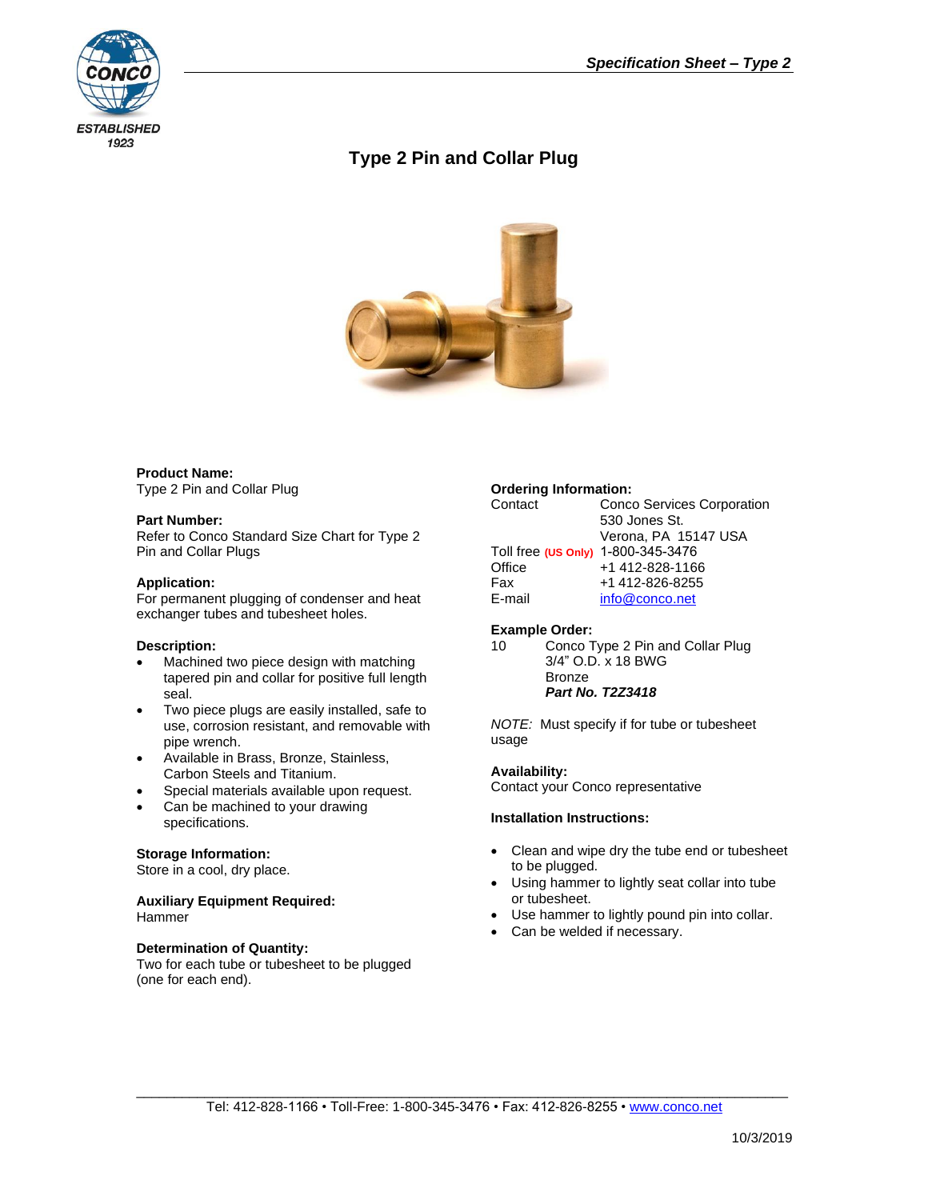

# **Type 2 Pin and Collar Plug**



#### **Product Name:** Type 2 Pin and Collar Plug

**Part Number:**

Refer to Conco Standard Size Chart for Type 2 Pin and Collar Plugs

## **Application:**

For permanent plugging of condenser and heat exchanger tubes and tubesheet holes.

### **Description:**

- Machined two piece design with matching tapered pin and collar for positive full length seal.
- Two piece plugs are easily installed, safe to use, corrosion resistant, and removable with pipe wrench.
- Available in Brass, Bronze, Stainless, Carbon Steels and Titanium.
- Special materials available upon request.
- Can be machined to your drawing specifications.

### **Storage Information:**

Store in a cool, dry place.

#### **Auxiliary Equipment Required:** Hammer

### **Determination of Quantity:**

Two for each tube or tubesheet to be plugged (one for each end).

### **Ordering Information:**

| Contact                            | <b>Conco Services Corporation</b> |
|------------------------------------|-----------------------------------|
|                                    | 530 Jones St.                     |
|                                    | Verona, PA 15147 USA              |
| Toll free (US Only) 1-800-345-3476 |                                   |
| Office                             | +1 412-828-1166                   |
| Fax                                | +1 412-826-8255                   |
| E-mail                             | info@conco.net                    |
|                                    |                                   |

### **Example Order:**

```
10 Conco Type 2 Pin and Collar Plug
3/4" O.D. x 18 BWG
Bronze
Part No. T2Z3418
```
*NOTE:* Must specify if for tube or tubesheet usage

### **Availability:**

Contact your Conco representative

### **Installation Instructions:**

- Clean and wipe dry the tube end or tubesheet to be plugged.
- Using hammer to lightly seat collar into tube or tubesheet.
- Use hammer to lightly pound pin into collar.
- Can be welded if necessary.